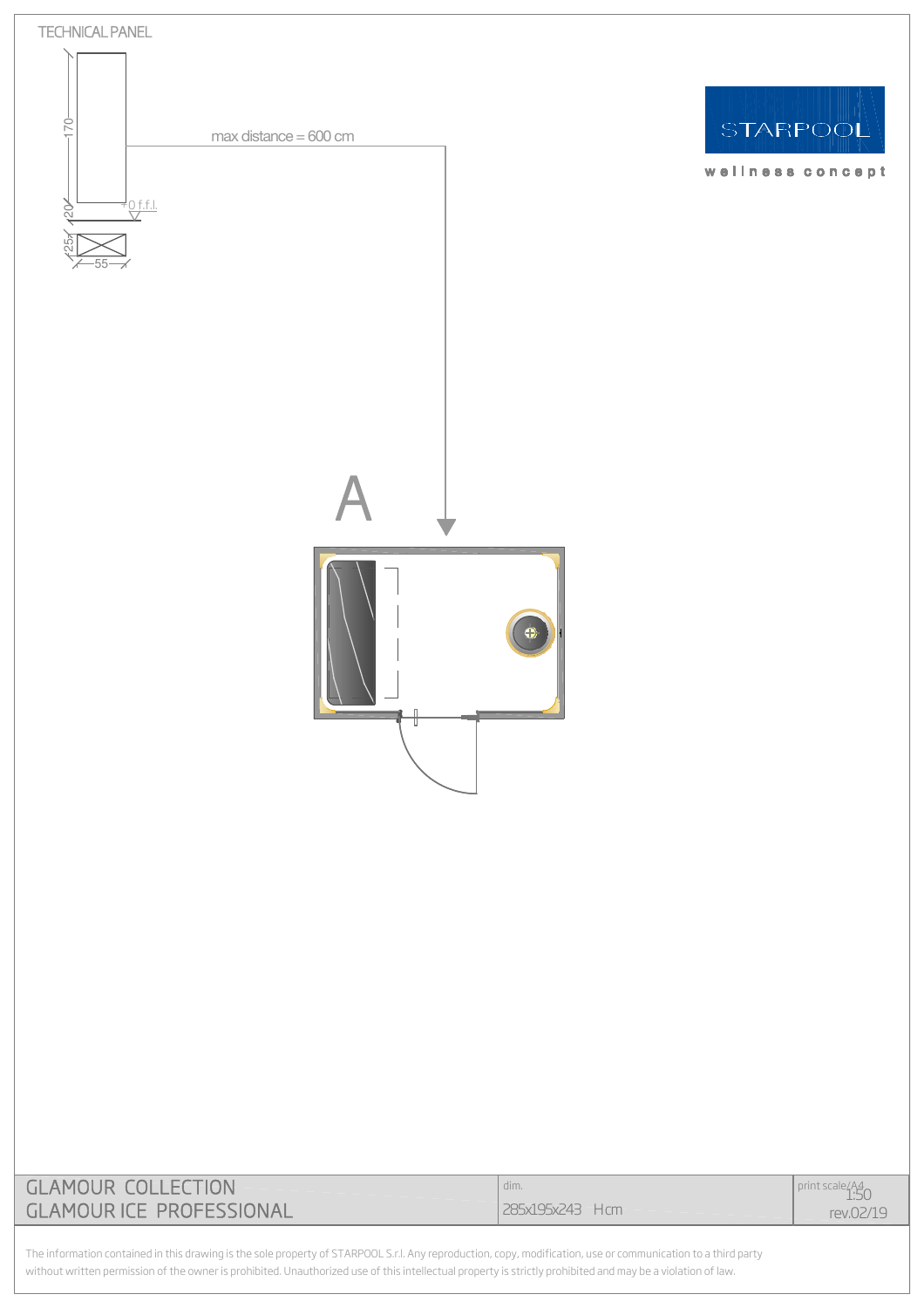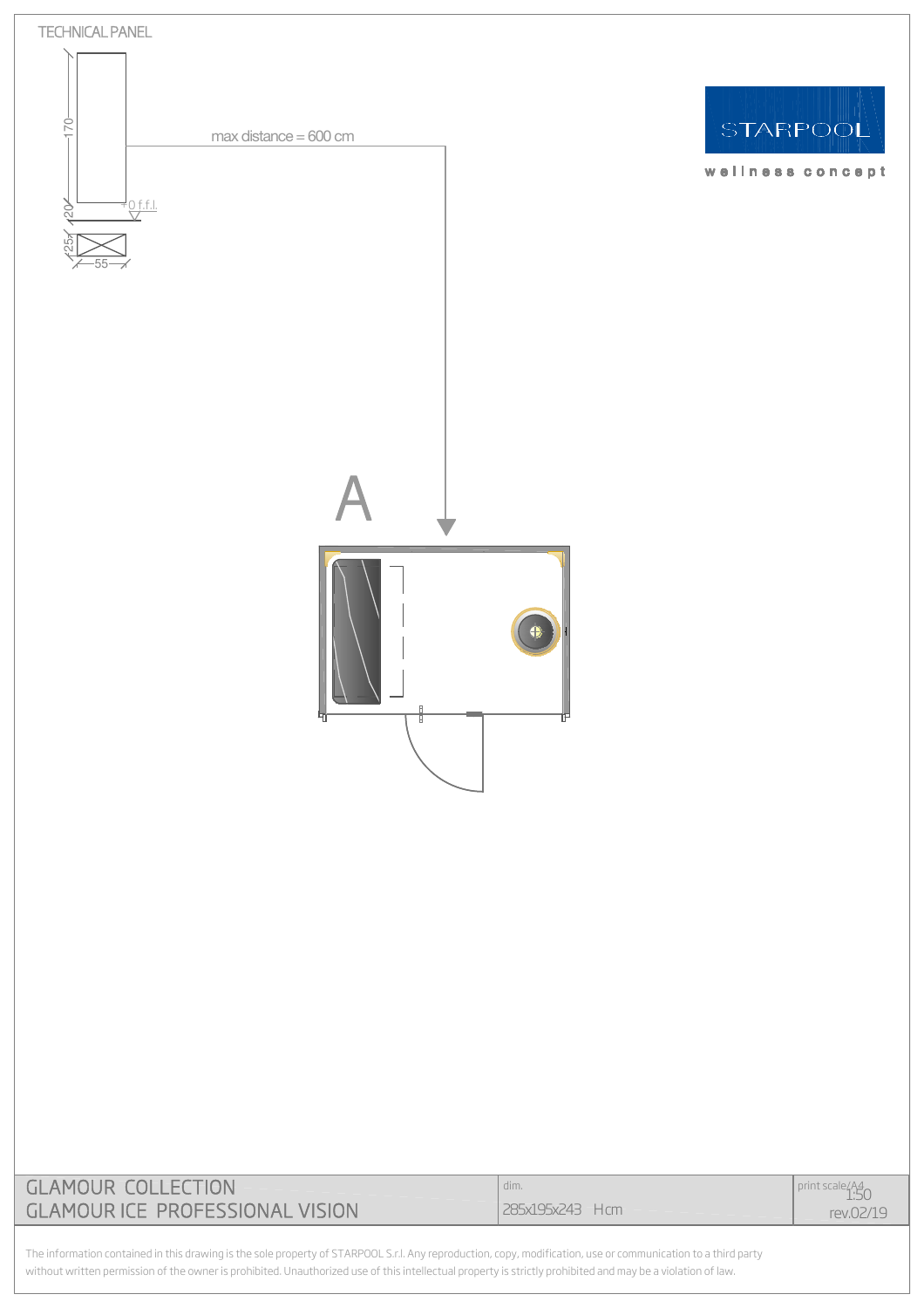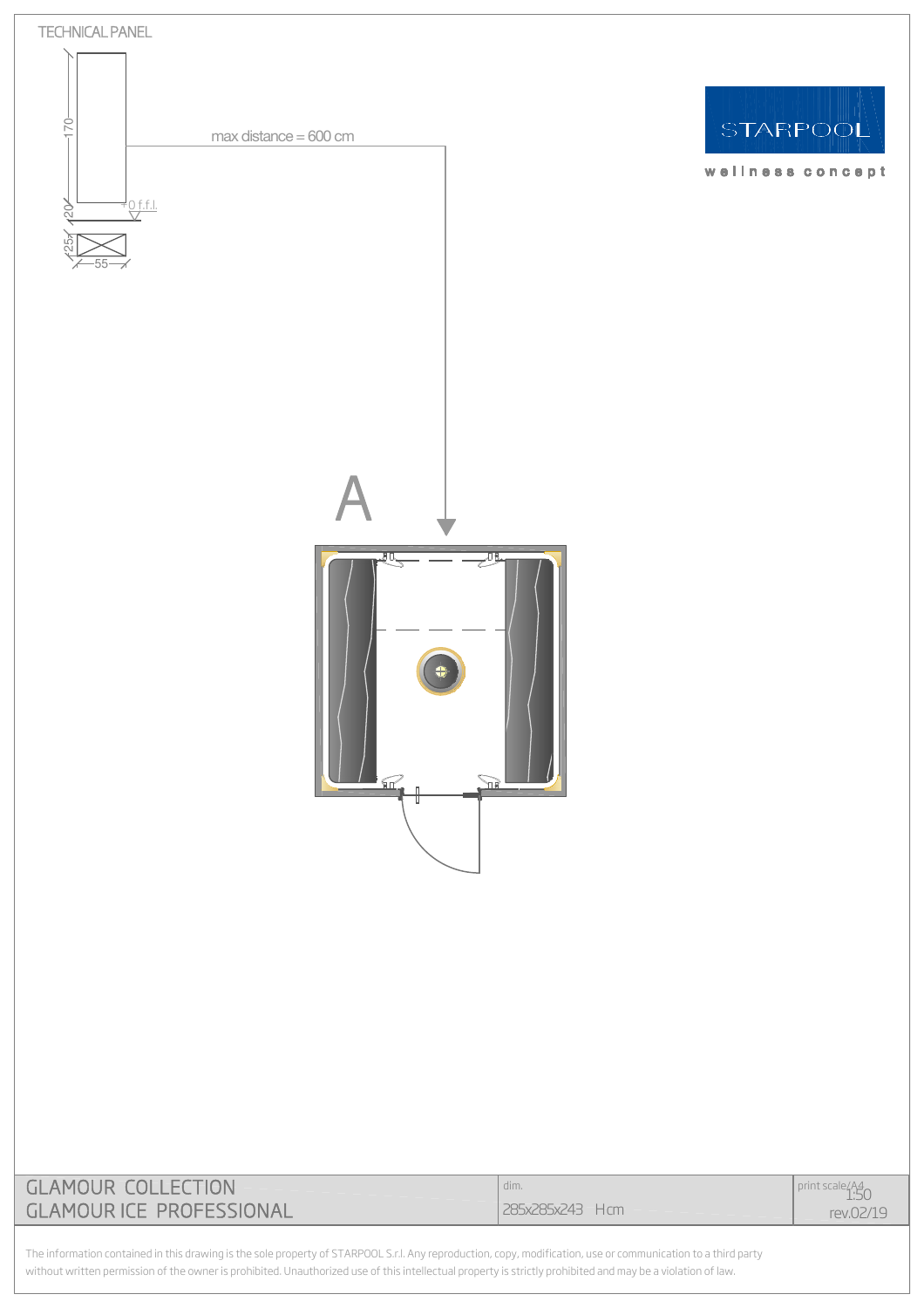